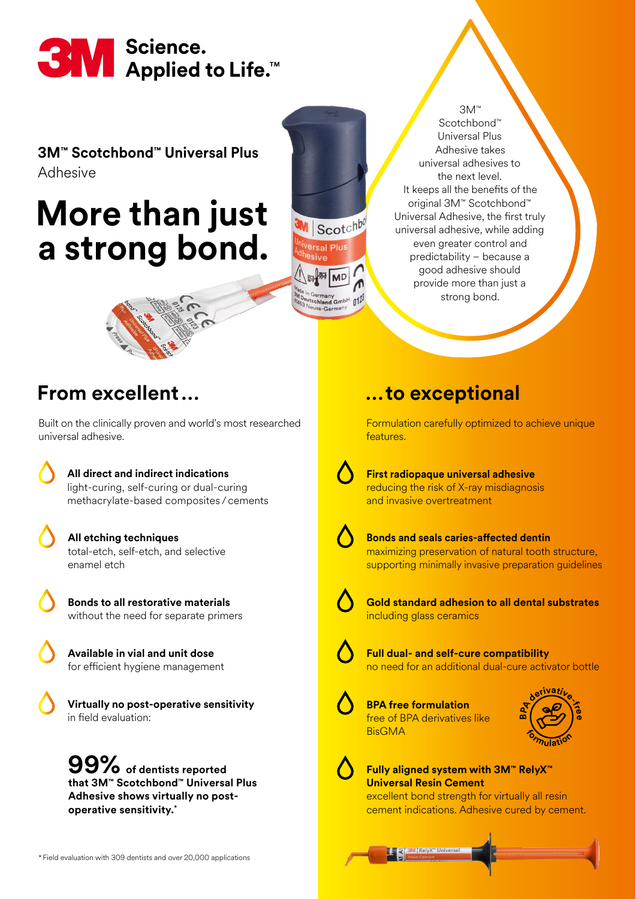

#### **3M™ Scotchbond™ Universal Plus**  Adhesive

# **More than just a strong bond.**

Scotchbond™ Universal Plus Adhesive takes universal adhesives to the next level. It keeps all the benefits of the original 3M™ Scotchbond™ Universal Adhesive, the first truly universal adhesive, while adding even greater control and predictability – because a good adhesive should provide more than just a strong bond. 3M™



## **From excellent…**

Built on the clinically proven and world's most researched universal adhesive.

> **All direct and indirect indications** light-curing, self-curing or dual-curing methacrylate-based composites /cements

- **All etching techniques** total-etch, self-etch, and selective enamel etch
- **Bonds to all restorative materials**  without the need for separate primers
- **Available in vial and unit dose**  for efficient hygiene management

 **Virtually no post-operative sensitivity** in field evaluation:

**of dentists reported 99% that 3M™ Scotchbond™ Universal Plus Adhesive shows virtually no postoperative sensitivity.\***

### **…to exceptional**

Formulation carefully optimized to achieve unique features.

 **First radiopaque universal adhesive** reducing the risk of X-ray misdiagnosis and invasive overtreatment

Scotch sal Plus

 $n12$ 

**Rred Ave MD** 

chland GmbH

 **Bonds and seals caries-affected dentin**  maximizing preservation of natural tooth structure, supporting minimally invasive preparation guidelines



 **Gold standard adhesion to all dental substrates** including glass ceramics



 **Full dual- and self-cure compatibility**  no need for an additional dual-cure activator bottle

 **BPA free formulation** free of BPA derivatives like **BisGMA** 



#### **Fully aligned system with 3M™ RelyX™ Universal Resin Cement**

excellent bond strength for virtually all resin cement indications. Adhesive cured by cement.